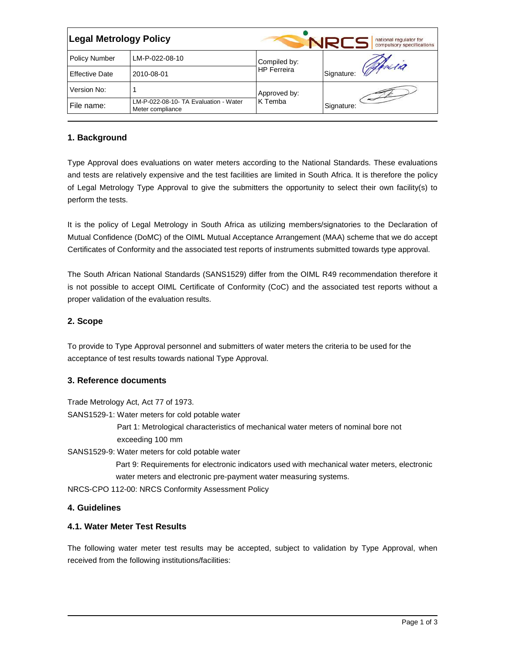| <b>Legal Metrology Policy</b> |                                                           |                         | national regulator for<br>compulsory specifications |  |
|-------------------------------|-----------------------------------------------------------|-------------------------|-----------------------------------------------------|--|
| <b>Policy Number</b>          | LM-P-022-08-10                                            | Compiled by:            |                                                     |  |
| <b>Effective Date</b>         | 2010-08-01                                                | <b>HP</b> Ferreira      | Signature: Which                                    |  |
| Version No:                   |                                                           | Approved by:<br>K Temba |                                                     |  |
| File name:                    | LM-P-022-08-10- TA Evaluation - Water<br>Meter compliance |                         | Signature:                                          |  |

## **1. Background**

Type Approval does evaluations on water meters according to the National Standards. These evaluations and tests are relatively expensive and the test facilities are limited in South Africa. It is therefore the policy of Legal Metrology Type Approval to give the submitters the opportunity to select their own facility(s) to perform the tests.

It is the policy of Legal Metrology in South Africa as utilizing members/signatories to the Declaration of Mutual Confidence (DoMC) of the OIML Mutual Acceptance Arrangement (MAA) scheme that we do accept Certificates of Conformity and the associated test reports of instruments submitted towards type approval.

The South African National Standards (SANS1529) differ from the OIML R49 recommendation therefore it is not possible to accept OIML Certificate of Conformity (CoC) and the associated test reports without a proper validation of the evaluation results.

### **2. Scope**

To provide to Type Approval personnel and submitters of water meters the criteria to be used for the acceptance of test results towards national Type Approval.

### **3. Reference documents**

Trade Metrology Act, Act 77 of 1973.

SANS1529-1: Water meters for cold potable water

Part 1: Metrological characteristics of mechanical water meters of nominal bore not exceeding 100 mm

SANS1529-9: Water meters for cold potable water

Part 9: Requirements for electronic indicators used with mechanical water meters, electronic water meters and electronic pre-payment water measuring systems.

NRCS-CPO 112-00: NRCS Conformity Assessment Policy

### **4. Guidelines**

### **4.1. Water Meter Test Results**

The following water meter test results may be accepted, subject to validation by Type Approval, when received from the following institutions/facilities: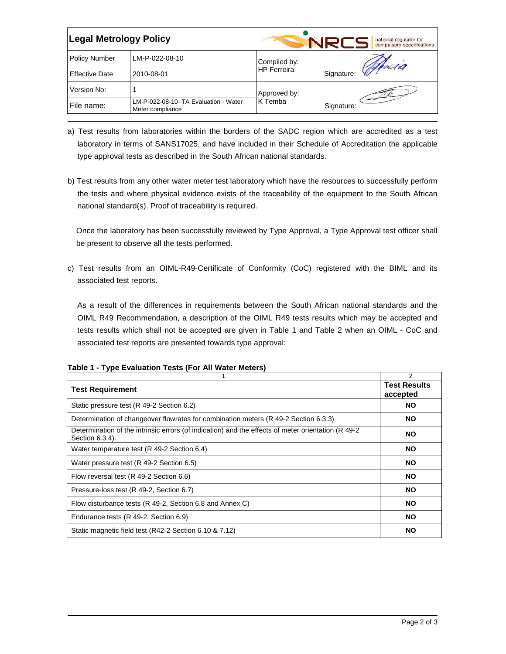| <b>Legal Metrology Policy</b> |                                                           |                    | national regulator for<br>compulsory specifications |
|-------------------------------|-----------------------------------------------------------|--------------------|-----------------------------------------------------|
| <b>Policy Number</b>          | LM-P-022-08-10                                            | Compiled by:       |                                                     |
| <b>Effective Date</b>         | 2010-08-01                                                | <b>HP Ferreira</b> | Signature: Which                                    |
| Version No:                   |                                                           | Approved by:       |                                                     |
| File name:                    | LM-P-022-08-10- TA Evaluation - Water<br>Meter compliance | K Temba            | Signature:                                          |

- a) Test results from laboratories within the borders of the SADC region which are accredited as a test laboratory in terms of SANS17025, and have included in their Schedule of Accreditation the applicable type approval tests as described in the South African national standards.
- b) Test results from any other water meter test laboratory which have the resources to successfully perform the tests and where physical evidence exists of the traceability of the equipment to the South African national standard(s). Proof of traceability is required.

Once the laboratory has been successfully reviewed by Type Approval, a Type Approval test officer shall be present to observe all the tests performed.

c) Test results from an OIML-R49-Certificate of Conformity (CoC) registered with the BIML and its associated test reports.

As a result of the differences in requirements between the South African national standards and the OIML R49 Recommendation, a description of the OIML R49 tests results which may be accepted and tests results which shall not be accepted are given in Table 1 and Table 2 when an OIML - CoC and associated test reports are presented towards type approval:

|                                                                                                                       | $\overline{2}$                  |
|-----------------------------------------------------------------------------------------------------------------------|---------------------------------|
| <b>Test Requirement</b>                                                                                               | <b>Test Results</b><br>accepted |
| Static pressure test (R 49-2 Section 6.2)                                                                             | <b>NO</b>                       |
| Determination of changeover flowrates for combination meters (R 49-2 Section 6.3.3)                                   | <b>NO</b>                       |
| Determination of the intrinsic errors (of indication) and the effects of meter orientation (R 49-2<br>Section 6.3.4). | <b>NO</b>                       |
| Water temperature test (R 49-2 Section 6.4)                                                                           | <b>NO</b>                       |
| Water pressure test (R 49-2 Section 6.5)                                                                              | <b>NO</b>                       |
| Flow reversal test (R 49-2 Section 6.6)                                                                               | <b>NO</b>                       |
| Pressure-loss test (R 49-2, Section 6.7)                                                                              | <b>NO</b>                       |
| Flow disturbance tests (R 49-2, Section 6.8 and Annex C)                                                              | <b>NO</b>                       |
| Endurance tests (R 49-2, Section 6.9)                                                                                 | <b>NO</b>                       |
| Static magnetic field test (R42-2 Section 6.10 & 7.12)                                                                | <b>NO</b>                       |

| Table 1 - Type Evaluation Tests (For All Water Meters) |  |  |
|--------------------------------------------------------|--|--|